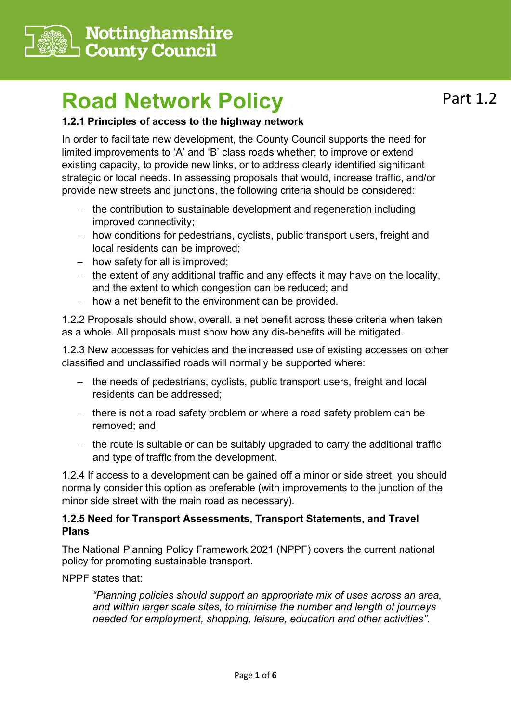

# **Road Network Policy**

### **1.2.1 Principles of access to the highway network**

Part 1.2

In order to facilitate new development, the County Council supports the need for limited improvements to 'A' and 'B' class roads whether; to improve or extend existing capacity, to provide new links, or to address clearly identified significant strategic or local needs. In assessing proposals that would, increase traffic, and/or provide new streets and junctions, the following criteria should be considered:

- the contribution to sustainable development and regeneration including improved connectivity;
- − how conditions for pedestrians, cyclists, public transport users, freight and local residents can be improved;
- − how safety for all is improved;
- − the extent of any additional traffic and any effects it may have on the locality, and the extent to which congestion can be reduced; and
- − how a net benefit to the environment can be provided.

1.2.2 Proposals should show, overall, a net benefit across these criteria when taken as a whole. All proposals must show how any dis-benefits will be mitigated.

1.2.3 New accesses for vehicles and the increased use of existing accesses on other classified and unclassified roads will normally be supported where:

- − the needs of pedestrians, cyclists, public transport users, freight and local residents can be addressed;
- − there is not a road safety problem or where a road safety problem can be removed; and
- − the route is suitable or can be suitably upgraded to carry the additional traffic and type of traffic from the development.

1.2.4 If access to a development can be gained off a minor or side street, you should normally consider this option as preferable (with improvements to the junction of the minor side street with the main road as necessary).

#### **1.2.5 Need for Transport Assessments, Transport Statements, and Travel Plans**

The National Planning Policy Framework 2021 (NPPF) covers the current national policy for promoting sustainable transport.

NPPF states that:

*"Planning policies should support an appropriate mix of uses across an area, and within larger scale sites, to minimise the number and length of journeys needed for employment, shopping, leisure, education and other activities".*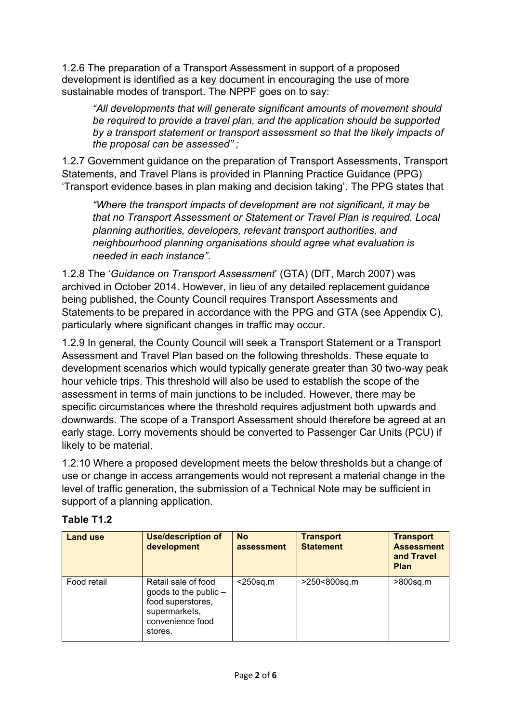1.2.6 The preparation of a Transport Assessment in support of a proposed development is identified as a key document in encouraging the use of more sustainable modes of transport. The NPPF goes on to say:

*"All developments that will generate significant amounts of movement should be required to provide a travel plan, and the application should be supported by a transport statement or transport assessment so that the likely impacts of the proposal can be assessed" ;* 

1.2.7 Government guidance on the preparation of Transport Assessments, Transport Statements, and Travel Plans is provided in Planning Practice Guidance (PPG) 'Transport evidence bases in plan making and decision taking'. The PPG states that

*"Where the transport impacts of development are not significant, it may be that no Transport Assessment or Statement or Travel Plan is required. Local planning authorities, developers, relevant transport authorities, and neighbourhood planning organisations should agree what evaluation is needed in each instance"*.

1.2.8 The '*Guidance on Transport Assessment*' (GTA) (DfT, March 2007) was archived in October 2014. However, in lieu of any detailed replacement guidance being published, the County Council requires Transport Assessments and Statements to be prepared in accordance with the PPG and GTA (see Appendix C), particularly where significant changes in traffic may occur.

1.2.9 In general, the County Council will seek a Transport Statement or a Transport Assessment and Travel Plan based on the following thresholds. These equate to development scenarios which would typically generate greater than 30 two-way peak hour vehicle trips. This threshold will also be used to establish the scope of the assessment in terms of main junctions to be included. However, there may be specific circumstances where the threshold requires adjustment both upwards and downwards. The scope of a Transport Assessment should therefore be agreed at an early stage. Lorry movements should be converted to Passenger Car Units (PCU) if likely to be material.

1.2.10 Where a proposed development meets the below thresholds but a change of use or change in access arrangements would not represent a material change in the level of traffic generation, the submission of a Technical Note may be sufficient in support of a planning application.

| <b>Land use</b> | <b>Use/description of</b><br>development                                                                            | <b>No</b><br>assessment | <b>Transport</b><br><b>Statement</b> | <b>Transport</b><br><b>Assessment</b><br>and Travel<br><b>Plan</b> |
|-----------------|---------------------------------------------------------------------------------------------------------------------|-------------------------|--------------------------------------|--------------------------------------------------------------------|
| Food retail     | Retail sale of food<br>goods to the public $-$<br>food superstores,<br>supermarkets,<br>convenience food<br>stores. | $<$ 250sq.m             | >250<800sq.m                         | >800sq.m                                                           |

#### **Table T1.2**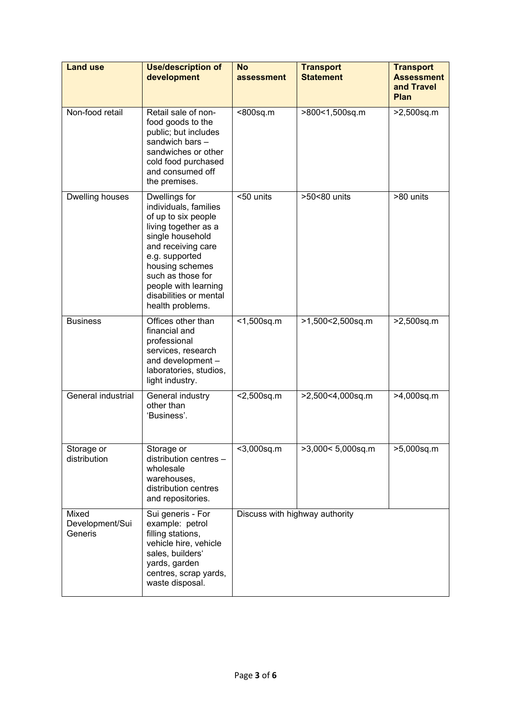| <b>Land use</b>                     | <b>Use/description of</b><br>development                                                                                                                                                                                                                        | <b>No</b><br>assessment        | <b>Transport</b><br><b>Statement</b> | <b>Transport</b><br><b>Assessment</b><br>and Travel<br><b>Plan</b> |
|-------------------------------------|-----------------------------------------------------------------------------------------------------------------------------------------------------------------------------------------------------------------------------------------------------------------|--------------------------------|--------------------------------------|--------------------------------------------------------------------|
| Non-food retail                     | Retail sale of non-<br>food goods to the<br>public; but includes<br>sandwich bars -<br>sandwiches or other<br>cold food purchased<br>and consumed off<br>the premises.                                                                                          | <800sq.m                       | >800<1,500sq.m                       | >2,500sq.m                                                         |
| Dwelling houses                     | Dwellings for<br>individuals, families<br>of up to six people<br>living together as a<br>single household<br>and receiving care<br>e.g. supported<br>housing schemes<br>such as those for<br>people with learning<br>disabilities or mental<br>health problems. | <50 units                      | >50<80 units                         | >80 units                                                          |
| <b>Business</b>                     | Offices other than<br>financial and<br>professional<br>services, research<br>and development -<br>laboratories, studios,<br>light industry.                                                                                                                     | $<$ 1,500sq.m                  | >1,500<2,500sq.m                     | >2,500sq.m                                                         |
| General industrial                  | General industry<br>other than<br>'Business'.                                                                                                                                                                                                                   | $<$ 2,500sq.m                  | >2,500<4,000sq.m                     | >4,000sq.m                                                         |
| Storage or<br>distribution          | Storage or<br>distribution centres -<br>wholesale<br>warehouses,<br>distribution centres<br>and repositories.                                                                                                                                                   | <3,000sq.m                     | $\overline{>3,}000 < 5,000$ sq.m     | >5,000sq.m                                                         |
| Mixed<br>Development/Sui<br>Generis | Sui generis - For<br>example: petrol<br>filling stations,<br>vehicle hire, vehicle<br>sales, builders'<br>yards, garden<br>centres, scrap yards,<br>waste disposal.                                                                                             | Discuss with highway authority |                                      |                                                                    |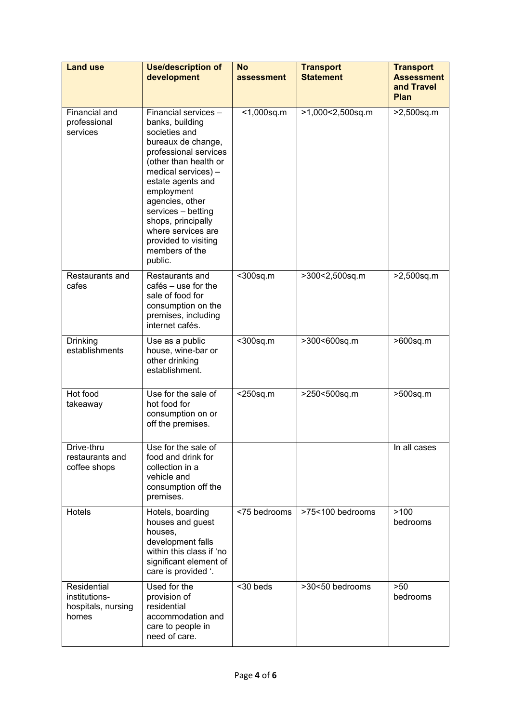| <b>Land use</b>                                             | <b>Use/description of</b><br>development                                                                                                                                                                                                                                                                                             | <b>No</b><br>assessment | <b>Transport</b><br><b>Statement</b> | <b>Transport</b><br><b>Assessment</b><br>and Travel<br>Plan |
|-------------------------------------------------------------|--------------------------------------------------------------------------------------------------------------------------------------------------------------------------------------------------------------------------------------------------------------------------------------------------------------------------------------|-------------------------|--------------------------------------|-------------------------------------------------------------|
| Financial and<br>professional<br>services                   | Financial services -<br>banks, building<br>societies and<br>bureaux de change,<br>professional services<br>(other than health or<br>medical services) -<br>estate agents and<br>employment<br>agencies, other<br>services - betting<br>shops, principally<br>where services are<br>provided to visiting<br>members of the<br>public. | $<$ 1,000sq.m           | >1,000<2,500sq.m                     | >2,500sq.m                                                  |
| Restaurants and<br>cafes                                    | Restaurants and<br>$caf$ és – use for the<br>sale of food for<br>consumption on the<br>premises, including<br>internet cafés.                                                                                                                                                                                                        | <300sq.m                | >300<2,500sq.m                       | >2,500sq.m                                                  |
| <b>Drinking</b><br>establishments                           | Use as a public<br>house, wine-bar or<br>other drinking<br>establishment.                                                                                                                                                                                                                                                            | <300sq.m                | >300<600sq.m                         | >600sq.m                                                    |
| Hot food<br>takeaway                                        | Use for the sale of<br>hot food for<br>consumption on or<br>off the premises.                                                                                                                                                                                                                                                        | $<$ 250sq.m             | >250<500sq.m                         | >500sq.m                                                    |
| Drive-thru<br>restaurants and<br>coffee shops               | Use for the sale of<br>food and drink for<br>collection in a<br>vehicle and<br>consumption off the<br>premises.                                                                                                                                                                                                                      |                         |                                      | In all cases                                                |
| Hotels                                                      | Hotels, boarding<br>houses and guest<br>houses,<br>development falls<br>within this class if 'no<br>significant element of<br>care is provided '.                                                                                                                                                                                    | <75 bedrooms            | >75<100 bedrooms                     | >100<br>bedrooms                                            |
| Residential<br>institutions-<br>hospitals, nursing<br>homes | Used for the<br>provision of<br>residential<br>accommodation and<br>care to people in<br>need of care.                                                                                                                                                                                                                               | <30 beds                | >30<50 bedrooms                      | >50<br>bedrooms                                             |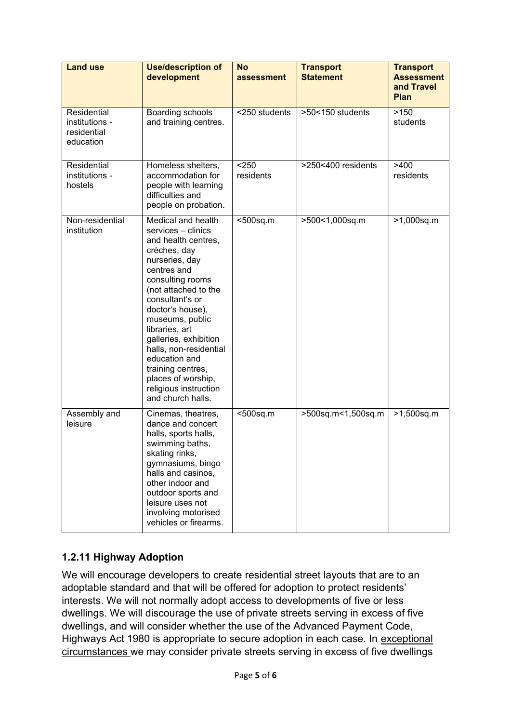| <b>Land use</b>                                           | <b>Use/description of</b><br>development                                                                                                                                                                                                                                                                                                                                                              | <b>No</b><br>assessment | <b>Transport</b><br><b>Statement</b> | <b>Transport</b><br><b>Assessment</b><br>and Travel<br>Plan |
|-----------------------------------------------------------|-------------------------------------------------------------------------------------------------------------------------------------------------------------------------------------------------------------------------------------------------------------------------------------------------------------------------------------------------------------------------------------------------------|-------------------------|--------------------------------------|-------------------------------------------------------------|
| Residential<br>institutions -<br>residential<br>education | Boarding schools<br>and training centres.                                                                                                                                                                                                                                                                                                                                                             | <250 students           | >50<150 students                     | >150<br>students                                            |
| Residential<br>institutions -<br>hostels                  | Homeless shelters,<br>accommodation for<br>people with learning<br>difficulties and<br>people on probation.                                                                                                                                                                                                                                                                                           | < 250<br>residents      | >250<400 residents                   | >400<br>residents                                           |
| Non-residential<br>institution                            | Medical and health<br>services - clinics<br>and health centres,<br>crèches, day<br>nurseries, day<br>centres and<br>consulting rooms<br>(not attached to the<br>consultant's or<br>doctor's house),<br>museums, public<br>libraries, art<br>galleries, exhibition<br>halls, non-residential<br>education and<br>training centres,<br>places of worship,<br>religious instruction<br>and church halls. | <500sq.m                | >500<1,000sq.m                       | >1,000sq.m                                                  |
| Assembly and<br>leisure                                   | Cinemas, theatres,<br>dance and concert<br>halls, sports halls,<br>swimming baths,<br>skating rinks,<br>gymnasiums, bingo<br>halls and casinos,<br>other indoor and<br>outdoor sports and<br>leisure uses not<br>involving motorised<br>vehicles or firearms.                                                                                                                                         | <500sq.m                | >500sq.m<1,500sq.m                   | >1,500sq.m                                                  |

## **1.2.11 Highway Adoption**

We will encourage developers to create residential street layouts that are to an adoptable standard and that will be offered for adoption to protect residents' interests. We will not normally adopt access to developments of five or less dwellings. We will discourage the use of private streets serving in excess of five dwellings, and will consider whether the use of the Advanced Payment Code, Highways Act 1980 is appropriate to secure adoption in each case. In exceptional circumstances we may consider private streets serving in excess of five dwellings